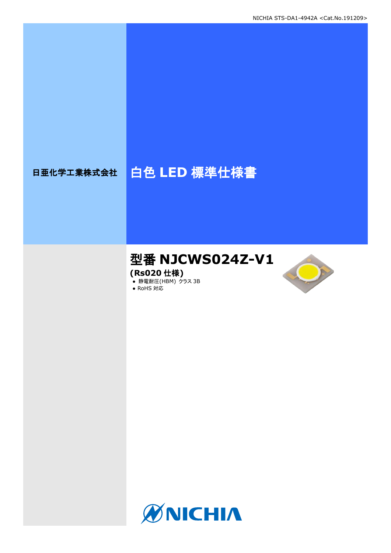# 日亜化学工業株式会社 | 白色 LED 標準仕様書

# 型番 **NJCWS024Z-V1**

**(Rs020** 仕様**)**

**● 静電耐圧(HBM) クラス 3B** 





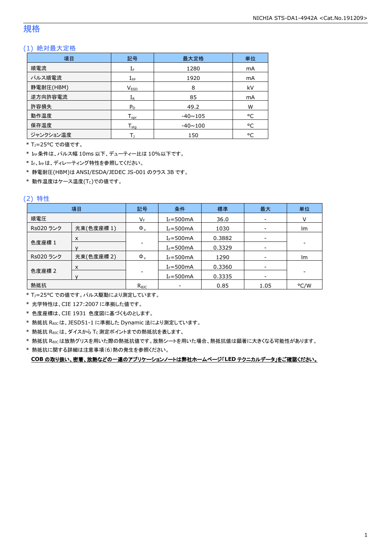### 規格

### (1) 絶対最大定格

| 項目        | 記号               | 最大定格           | 単位 |
|-----------|------------------|----------------|----|
| 順電流       | $I_F$            | 1280           | mA |
| パルス順電流    | $I_{\text{FP}}$  | 1920           | mA |
| 静電耐圧(HBM) | <b>VESD</b>      | 8              | kV |
| 逆方向許容電流   | $I_R$            | 85             | mA |
| 許容損失      | $P_D$            | 49.2           | W  |
| 動作温度      | $T_{\text{opr}}$ | $-40 \sim 105$ | °C |
| 保存温度      | $T_{\rm stq}$    | $-40 \sim 100$ | °C |
| ジャンクション温度 |                  | 150            | °C |

\* TJ=25°C での値です。

\* IFP条件は、パルス幅 10ms 以下、デューティー比は 10%以下です。

\* IF、IFPは、ディレーティング特性を参照してください。

\* 静電耐圧(HBM)は ANSI/ESDA/JEDEC JS-001 のクラス 3B です。

 $*$ 動作温度はケース温度(Tc)での値です。

#### (2) 特性

|           | 項目         | 記号             | 条件             | 標準     | 最大                       | 単位                       |
|-----------|------------|----------------|----------------|--------|--------------------------|--------------------------|
| 順電圧       |            | VF             | $I_F = 500$ mA | 36.0   | $\overline{\phantom{a}}$ |                          |
| Rs020 ランク | 光束(色度座標1)  | $\Phi_{\rm v}$ | $I_F = 500$ mA | 1030   |                          | Im                       |
|           | X          |                | $I_F = 500mA$  | 0.3882 | -                        |                          |
| 色度座標 1    |            |                | $I_F = 500mA$  | 0.3329 | -                        | $\overline{\phantom{a}}$ |
| Rs020 ランク | 光束(色度座標 2) | $\Phi_{v}$     | $I_F = 500$ mA | 1290   | $\overline{\phantom{a}}$ | Im                       |
|           | X          |                | $I_F = 500mA$  | 0.3360 | $\overline{\phantom{a}}$ |                          |
| 色度座標 2    |            |                | $I_F = 500$ mA | 0.3335 |                          |                          |
| 熱抵抗       |            | $R_{\theta$ JC |                | 0.85   | 1.05                     | °C/W                     |

\* TJ=25°C での値です。パルス駆動により測定しています。

\* 光学特性は、CIE 127:2007 に準拠した値です。

\* 色度座標は、CIE 1931 色度図に基づくものとします。

\* 熱抵抗 RθJCは、JESD51-1 に準拠した Dynamic 法により測定しています。

 $*$  熱抵抗  $R_{\theta JC}$ は、ダイスから Tc 測定ポイントまでの熱抵抗を表します。

\* 熱抵抗 RθJCは放熱グリスを用いた際の熱抵抗値です。放熱シートを用いた場合、熱抵抗値は顕著に大きくなる可能性があります。

\* 熱抵抗に関する詳細は注意事項(6)熱の発生を参照ください。

**COB** の取り扱い、密着、放熱などの一連のアプリケーションノートは弊社ホームページ「**LED** テクニカルデータ」をご確認ください。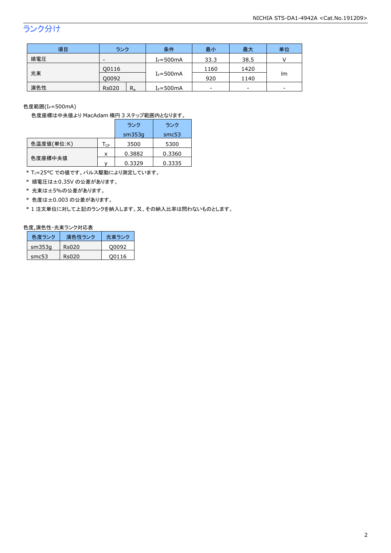# ランク分け

| 項目  | ランク                      | 条件            | 最小   | 最大   | 単位 |
|-----|--------------------------|---------------|------|------|----|
| 順電圧 | $\overline{\phantom{0}}$ | $I_F = 500mA$ | 33.3 | 38.5 |    |
|     | Q0116                    |               | 1160 | 1420 |    |
| 光束  | O0092                    | $I_F = 500mA$ | 920  | 1140 | Im |
| 演色性 | $R_{a}$<br><b>Rs020</b>  | $I_F = 500mA$ | ۰    | -    | -  |

色度範囲 $(I_f = 500$ mA)

色度座標は中央値より MacAdam 楕円 3 ステップ範囲内となります。

|            |                            | ランク    | ランク    |
|------------|----------------------------|--------|--------|
|            |                            | sm353q | smc53  |
| 色温度値(単位:K) | $\mathsf{T}_{\mathsf{CP}}$ | 3500   | 5300   |
|            | x                          | 0.3882 | 0.3360 |
| 色度座標中央値    |                            | 0.3329 | 0.3335 |

\* T<sub>J</sub>=25°C での値です。パルス駆動により測定しています。

\* 順電圧は±0.35V の公差があります。

\* 光束は±5%の公差があります。

\* 色度は±0.003 の公差があります。

\* 1 注文単位に対して上記のランクを納入します。又、その納入比率は問わないものとします。

#### 色度,演色性-光束ランク対応表

| 色度ランク  | 演色性ランク | 光東ランク |
|--------|--------|-------|
| sm353q | Rs020  | O0092 |
| smc53  | Rs020  | 00116 |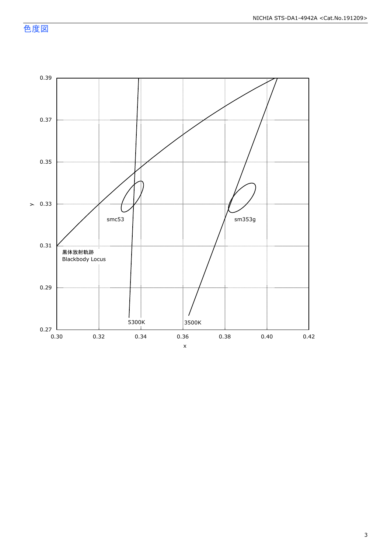色度図

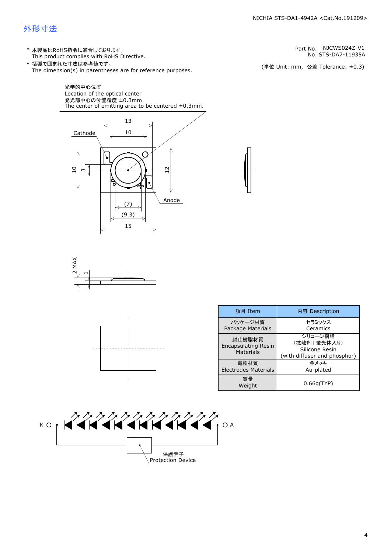### 外形寸法

(単位 Unit: mm) This product complies with RoHS Directive. \* 本製品はRoHS指令に適合しております。 (単位 Unit: mm, 公差 Tolerance: ±0.3) STS-DA7-11935A NJCWS024Z-V1 The dimension(s) in parentheses are for reference purposes. \* 括弧で囲まれた寸法は参考値です。 No. Part No.







| 項目 Item                                           | 内容 Description                                                           |
|---------------------------------------------------|--------------------------------------------------------------------------|
| パッケージ材質<br>Package Materials                      | セラミックス<br>Ceramics                                                       |
| 封止樹脂材質<br><b>Encapsulating Resin</b><br>Materials | シリコーン樹脂<br>(拡散剤+蛍光体入り)<br>Silicone Resin<br>(with diffuser and phosphor) |
| 電極材質<br><b>Electrodes Materials</b>               | 金メッキ<br>Au-plated                                                        |
| 質量<br>Weight                                      | 0.66q(TYP)                                                               |



4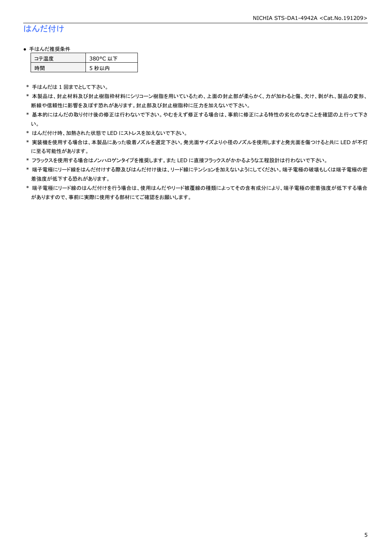# はんだ付け

### ● 手はんだ推奨条件

| →"烏庫」 | 380°C 以下 |
|-------|----------|
| .間    | 5 秒以内    |

\* 手はんだは 1 回までとして下さい。

- \* 本製品は、封止材料及び封止樹脂枠材料にシリコーン樹脂を用いているため、上面の封止部が柔らかく、力が加わると傷、欠け、剥がれ、製品の変形、 断線や信頼性に影響を及ぼす恐れがあります。封止部及び封止樹脂枠に圧力を加えないで下さい。
- \* 基本的にはんだの取り付け後の修正は行わないで下さい。やむをえず修正する場合は、事前に修正による特性の劣化のなきことを確認の上行って下さ い。
- \* はんだ付け時、加熱された状態で LED にストレスを加えないで下さい。
- \* 実装機を使用する場合は、本製品にあった吸着ノズルを選定下さい。発光面サイズより小径のノズルを使用しますと発光面を傷つけると共に LED が不灯 に至る可能性があります。
- \* フラックスを使用する場合はノンハロゲンタイプを推奨します。また LED に直接フラックスがかかるような工程設計は行わないで下さい。
- \* 端子電極にリード線をはんだ付けする際及びはんだ付け後は、リード線にテンションを加えないようにしてください。端子電極の破壊もしくは端子電極の密 着強度が低下する恐れがあります。
- \* 端子電極にリード線のはんだ付けを行う場合は、使用はんだやリード被覆線の種類によってその含有成分により、端子電極の密着強度が低下する場合 がありますので、事前に実際に使用する部材にてご確認をお願いします。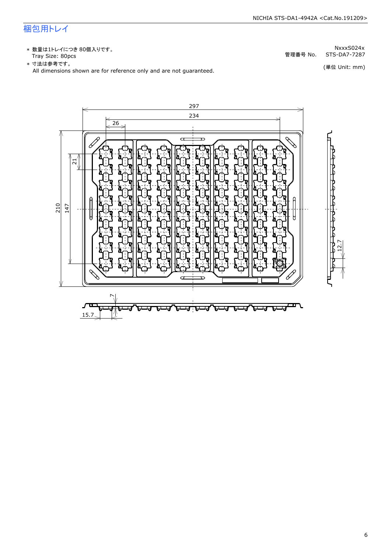# 梱包用トレイ

\* 数量は1トレイにつき 80個入りです。<br>Tray Size: 80pcs

\* 数量は1トレイにつき 80個入りです。<br>Tray Size: 80pcs<br>\* 寸法は参考です。<br>All dimensions shown are for reference only and are not guaranteed. \* づ法は参考です。 (単位 Unit: mm)

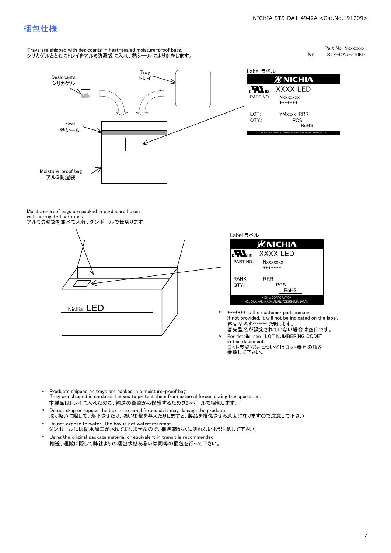### 梱包仕様

Trays are shipped with desiccants in heat-sealed moisture-proof bags. シリカゲルとともにトレイをアルミ防湿袋に入れ、熱シールにより封をします。 Part No. Nxxxxxxx<br>STS-DA7-5106D



No.<br>Label ラベル ØNICHIA  $\mathbf{r}$ XXXX LED<br>
Nxxxxxxx<br>
\*\*\*\*\*\*\*<br>
YMxxx-RRR<br>
PCS<br>
FoHS NART NO.: NXXXXXXX<br>\*\*\*\*\*\*\*<br>LOT: YMxxxx-RRR<br>QTY.: PCS PART NOTS<br>NECHA CORPORATION 491 OKA, KAMINAKA, ANAN, TOKUSHIMA, ARAN, PORT

Moisture-proof bags are packed in cardboard boxes with corrugated partitions. アルミ防湿袋を並べて入れ、ダンボールで仕切ります。





\* \*\*\*\*\*\*\* is the customer part number.<br>If not provided, it will not be indicated on the label.<br>客先型名が設定されていない場合は空白です。

- \* For details, see "LOT NUMBERING CODE"<br>in this document.<br>ロット表記方法についてはロット番号の項を<br>参照して下さい。
- \* Products shipped on trays are packed in a moisture-proof bag.<br>They are shipped in cardboard boxes to protect them from external forces during transportation.<br>本製品はトレイに入れたのち、輸送の衝撃から保護するためダンボールで梱包します。<br>\* Do not drop or exp 本製品はトレイに入れたのち、輸送の衝撃から保護するためダンボールで梱包します。
- Do not drop or expose the box to external forces as it may damage the products. 取り扱いに際して、落下させたり、強い衝撃を与えたりしますと、製品を損傷させる原因になりますので注意して下さい。 \*
- Do not expose to water. The box is not water-resistant. ダンボールには防水加工がされておりませんので、梱包箱が水に濡れないよう注意して下さい。 \*
- \* 輸送、運搬に際して弊社よりの梱包状態あるいは同等の梱包を行って下さい。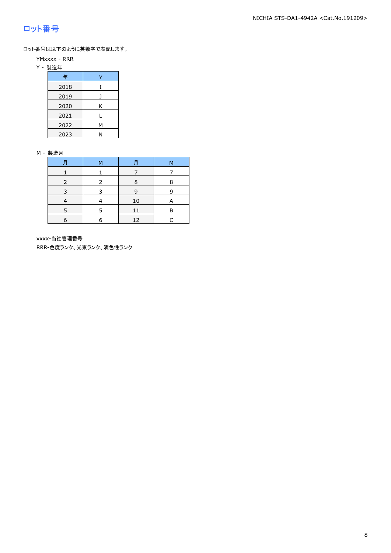# ロット番号

ロット番号は以下のように英数字で表記します。

- YMxxxx RRR
- Y 製造年

| 年    |   |  |  |  |
|------|---|--|--|--|
| 2018 | T |  |  |  |
| 2019 |   |  |  |  |
| 2020 | Κ |  |  |  |
| 2021 |   |  |  |  |
| 2022 | М |  |  |  |
| 2023 |   |  |  |  |

#### M - 製造月

| 月 | м | 月  | М |
|---|---|----|---|
|   |   |    |   |
|   |   | 8  | 8 |
|   |   | 9  | q |
|   |   | 10 | A |
|   |   |    | F |
| 6 | F | 12 |   |

xxxx-当社管理番号

RRR-色度ランク、光束ランク、演色性ランク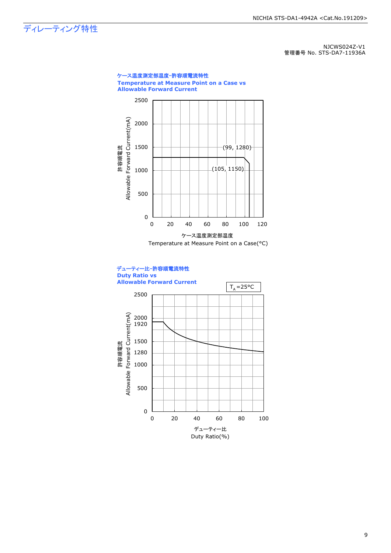ディレーティング特性

NJCWS024Z-V1 管理番号 No. STS-DA7-11936A

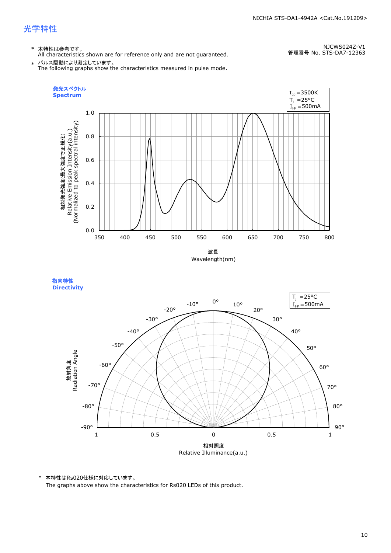#### NICHIA STS-DA1-4942A <Cat.No.191209>

# 光学特性

### \* 本特性は参考です。

All characteristics shown are for reference only and are not guaranteed.

NJCWS024Z-V1 管理番号 No. STS-DA7-12363

 $\;\ast\;$  パルス駆動により測定しています。<br>The following graphs show the characteristics measured in pulse mode.



指向特性 **Directivity** 



\* 本特性はRs020仕様に対応しています。

The graphs above show the characteristics for Rs020 LEDs of this product.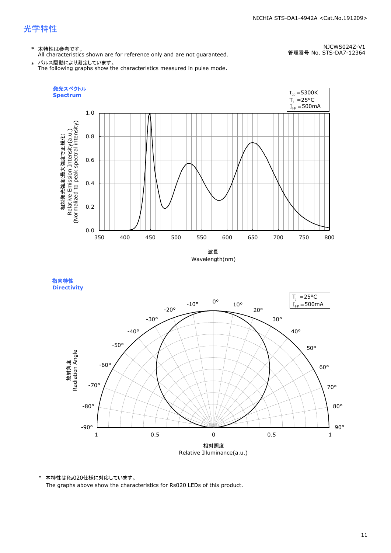#### NICHIA STS-DA1-4942A <Cat.No.191209>

# 光学特性

### \* 本特性は参考です。

All characteristics shown are for reference only and are not guaranteed.

NJCWS024Z-V1 管理番号 No. STS-DA7-12364

 $\;\ast\;$  パルス駆動により測定しています。<br>The following graphs show the characteristics measured in pulse mode.



指向特性 **Directivity** 



\* 本特性はRs020仕様に対応しています。

The graphs above show the characteristics for Rs020 LEDs of this product.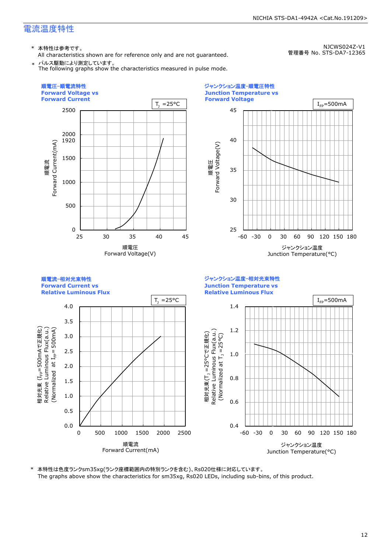\* 本特性は参考です。

All characteristics shown are for reference only and are not guaranteed. \* パルス駆動により測定しています。

The following graphs show the characteristics measured in pulse mode.

NICHIA STS-DA1-4942A <Cat.No.191209>

NJCWS024Z-V1

管理番号 No. STS-DA7-12365



\* 本特性は色度ランクsm35xg(ランク座標範囲内の特別ランクを含む)、Rs020仕様に対応しています。 The graphs above show the characteristics for sm35xg, Rs020 LEDs, including sub-bins, of this product.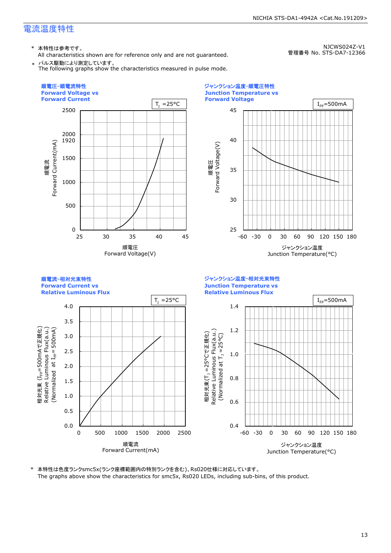\* 本特性は参考です。

All characteristics shown are for reference only and are not guaranteed. \* パルス駆動により測定しています。

The following graphs show the characteristics measured in pulse mode.

NICHIA STS-DA1-4942A <Cat.No.191209>

```
NJCWS024Z-V1
```
管理番号 No. STS-DA7-12366



\* 本特性は色度ランクsmc5x(ランク座標範囲内の特別ランクを含む)、Rs020仕様に対応しています。 The graphs above show the characteristics for smc5x, Rs020 LEDs, including sub-bins, of this product.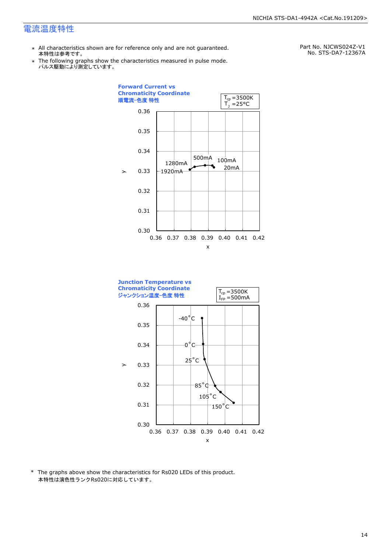- \* All characteristics shown are for reference only and are not guaranteed. 本特性は参考です。
- \* Ine following graphs show th<br>、パルス駆動により測定しています。 The following graphs show the characteristics measured in pulse mode.

Part No. NJCWS024Z-V1 No. STS-DA7-12367A





\* The graphs above show the characteristics for Rs020 LEDs of this product. 本特性は演色性ランクRs020に対応しています。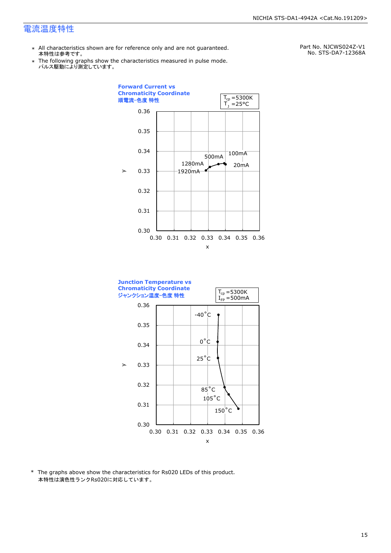- \* All characteristics shown are for reference only and are not guaranteed. 本特性は参考です。
- \* Ine following graphs show th<br>、パルス駆動により測定しています。 The following graphs show the characteristics measured in pulse mode.

Part No. NJCWS024Z-V1 No. STS-DA7-12368A





\* The graphs above show the characteristics for Rs020 LEDs of this product. 本特性は演色性ランクRs020に対応しています。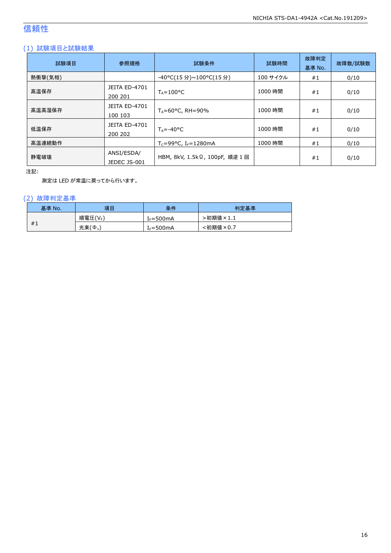# 信頼性

### (1) 試験項目と試験結果

| 試験項目    | 参照規格                            | 試験条件                                  | 試験時間     | 故障判定<br>基準 No. | 故障数/試験数 |
|---------|---------------------------------|---------------------------------------|----------|----------------|---------|
| 熱衝撃(気相) |                                 | -40°C(15 分)~100°C(15 分)               | 100 サイクル | #1             | 0/10    |
| 高温保存    | <b>JEITA ED-4701</b><br>200 201 | $T_A = 100^{\circ}C$                  | 1000 時間  | #1             | 0/10    |
| 高温高湿保存  | <b>JEITA ED-4701</b><br>100 103 | $T_A = 60^{\circ}$ C, RH = 90%        | 1000 時間  | #1             | 0/10    |
| 低温保存    | JEITA ED-4701<br>200 202        | $T_{\text{A}} = -40^{\circ}C$         | 1000 時間  | #1             | 0/10    |
| 高温連続動作  |                                 | $T_c = 99$ °C, I <sub>F</sub> =1280mA | 1000 時間  | #1             | 0/10    |
| 静電破壊    | ANSI/ESDA/<br>JEDEC JS-001      | HBM, 8kV, 1.5kΩ, 100pF, 順逆 1回         |          | #1             | 0/10    |

注記:

測定は LED が常温に戻ってから行います。

### (2) 故障判定基準

| 基準 No. | 項目      | 条件                    | 判定基準     |
|--------|---------|-----------------------|----------|
|        | 順電圧(VF) | [ <sub>F</sub> =500mA | ·初期値×1.1 |
| #1     | 光束(Ф.)  | $I_F = 500mA$         | :初期値×0.7 |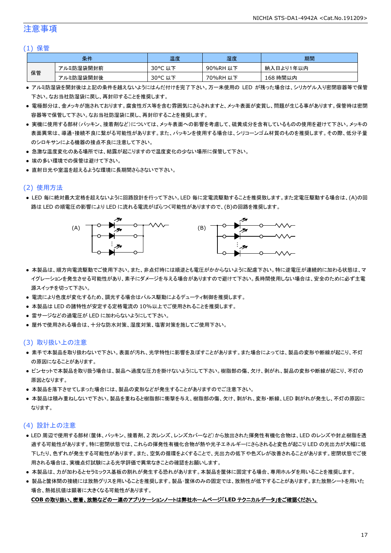### 注意事項

#### (1) 保管

| 条件 |           | 温度      | 湿度       | 期間        |
|----|-----------|---------|----------|-----------|
|    | アルミ防湿袋開封前 | 30°C 以下 | 90%RH 以下 | 納入日より1年以内 |
| 保管 | アルミ防湿袋開封後 | 30°C 以下 | 70%RH 以下 | 168 時間以内  |

- アルミ防湿袋を開封後は上記の条件を越えないようにはんだ付けを完了下さい。万一未使用の LED が残った場合は、シリカゲル入り密閉容器等で保管 下さい。なお当社防湿袋に戻し、再封印することを推奨します。
- 電極部分は、金メッキが施されております。腐食性ガス等を含む雰囲気にさらされますと、メッキ表面が変質し、問題が生じる事があります。保管時は密閉 容器等で保管して下さい。なお当社防湿袋に戻し、再封印することを推奨します。
- 実機に使用する部材(パッキン、接着剤など)については、メッキ表面への影響を考慮して、硫黄成分を含有しているものの使用を避けて下さい。メッキの 表面異常は、導通・接続不良に繋がる可能性があります。また、パッキンを使用する場合は、シリコーンゴム材質のものを推奨します。その際、低分子量 のシロキサンによる機器の接点不良に注意して下さい。
- 急激な温度変化のある場所では、結露が起こりますので温度変化の少ない場所に保管して下さい。
- 埃の多い環境での保管は避けて下さい。
- 直射日光や室温を超えるような環境に長期間さらさないで下さい。

### (2) 使用方法

● LED 毎に絶対最大定格を超えないように回路設計を行って下さい。LED 毎に定電流駆動することを推奨致します。また定電圧駆動する場合は、(A)の回 路は LED の順電圧の影響により LED に流れる電流がばらつく可能性がありますので、(B)の回路を推奨します。



- 本製品は、順方向電流駆動でご使用下さい。また、非点灯時には順逆とも電圧がかからないように配慮下さい。特に逆電圧が連続的に加わる状態は、マ イグレーションを発生させる可能性があり、素子にダメージを与える場合がありますので避けて下さい。長時間使用しない場合は、安全のために必ず主電 源スイッチを切って下さい。
- 電流により色度が変化するため、調光する場合はパルス駆動によるデューティ制御を推奨します。
- 本製品は LED の諸特性が安定する定格電流の 10%以上でご使用されることを推奨します。
- 雷サージなどの過電圧が LED に加わらないようにして下さい。
- 屋外で使用される場合は、十分な防水対策、湿度対策、塩害対策を施してご使用下さい。

#### (3) 取り扱い上の注意

- 素手で本製品を取り扱わないで下さい。表面が汚れ、光学特性に影響を及ぼすことがあります。また場合によっては、製品の変形や断線が起こり、不灯 の原因になることがあります。
- ピンセットで本製品を取り扱う場合は、製品へ過度な圧力を掛けないようにして下さい。樹脂部の傷、欠け、剥がれ、製品の変形や断線が起こり、不灯の 原因となります。
- 本製品を落下させてしまった場合には、製品の変形などが発生することがありますのでご注意下さい。
- 本製品は積み重ねしないで下さい。製品を重ねると樹脂部に衝撃を与え、樹脂部の傷、欠け、剥がれ、変形・断線、LED 剥がれが発生し、不灯の原因に なります。

#### (4) 設計上の注意

- LED 周辺で使用する部材(筐体、パッキン、接着剤、2 次レンズ、レンズカバーなど)から放出された揮発性有機化合物は、LED のレンズや封止樹脂を透 過する可能性があります。特に密閉状態では、これらの揮発性有機化合物が熱や光子エネルギーにさらされると変色が起こり LED の光出力が大幅に低 下したり、色ずれが発生する可能性があります。また、空気の循環をよくすることで、光出力の低下や色ズレが改善されることがあります。密閉状態でご使 用される場合は、実機点灯試験による光学評価で異常なきことの確認をお願いします。
- 本製品は、カが加わるとセラミックス基板の割れが発生する恐れがあります。本製品を筐体に固定する場合、専用ホルダを用いることを推奨します。
- 製品と筐体間の接続には放熱グリスを用いることを推奨します。製品・筐体のみの固定では、放熱性が低下することがあります。また放熱シートを用いた 場合、熱抵抗値は顕著に大きくなる可能性があります。

#### **COB** の取り扱い、密着、放熱などの一連のアプリケーションノートは弊社ホームページ「**LED** テクニカルデータ」をご確認ください。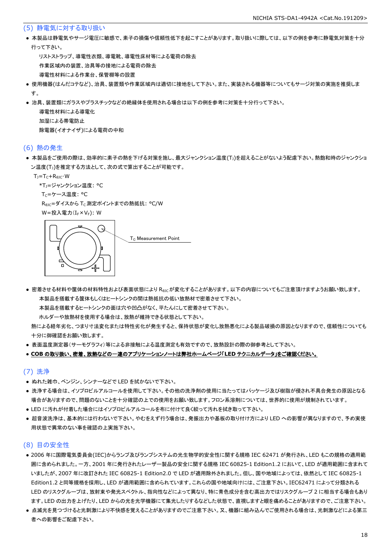#### (5) 静電気に対する取り扱い

● 本製品は静電気やサージ電圧に敏感で、素子の損傷や信頼性低下を起こすことがあります。取り扱いに際しては、以下の例を参考に静電気対策を十分 行って下さい。

 リストストラップ、導電性衣類、導電靴、導電性床材等による電荷の除去 作業区域内の装置、治具等の接地による電荷の除去 導電性材料による作業台、保管棚等の設置

- 使用機器(はんだコテなど)、治具、装置類や作業区域内は適切に接地をして下さい。また、実装される機器等についてもサージ対策の実施を推奨しま す。
- 治具、装置類にガラスやプラスチックなどの絶縁体を使用される場合は以下の例を参考に対策を十分行って下さい。

 導電性材料による導電化 加湿による帯電防止 除電器(イオナイザ)による電荷の中和

#### (6) 熱の発生

● 本製品をご使用の際は、効率的に素子の熱を下げる対策を施し、最大ジャンクション温度(T」)を超えることがないよう配慮下さい。熱飽和時のジャンクショ ン温度(T」)を推定する方法として、次の式で算出することが可能です。

 $T_J = T_C + R_{\theta JC} \cdot W$ 

\*T<sub>1</sub>=ジャンクション温度: °C

Tc=ケース温度: °C

R<sub>0JC</sub>=ダイスから T<sub>C</sub> 測定ポイントまでの熱抵抗: °C/W

W=投入電力(I<sub>F</sub>×V<sub>F</sub>): W



● 密着させる材料や筐体の材料特性および表面状態により Reicが変化することがあります。以下の内容についてもご注意頂けますようお願い致します。 本製品を搭載する筐体もしくはヒートシンクの間は熱抵抗の低い放熱材で密着させて下さい。

本製品を搭載するヒートシンクの面は穴や凹凸がなく、平たんにして密着させて下さい。

ホルダーや放熱材を使用する場合は、放熱が維持できる状態として下さい。

 熱による経年劣化、つまり寸法変化または特性劣化が発生すると、保持状態が変化し放熱悪化による製品破損の原因となりますので、信頼性についても 十分に御確認をお願い致します。

● 表面温度測定器(サーモグラフィ)等による非接触による温度測定も有効ですので、放熱設計の際の御参考として下さい。

#### ● **COB** の取り扱い、密着、放熱などの一連のアプリケーションノートは弊社ホームページ「**LED** テクニカルデータ」をご確認ください。

#### (7) 洗浄

- ぬれた雑巾、ベンジン、シンナーなどで LED を拭かないで下さい。
- 洗浄する場合は、イソプロピルアルコールを使用して下さい。その他の洗浄剤の使用に当たってはパッケージ及び樹脂が侵され不具合発生の原因となる 場合がありますので、問題のないことを十分確認の上での使用をお願い致します。フロン系溶剤については、世界的に使用が規制されています。
- LED に汚れが付着した場合にはイソプロピルアルコールを布に付けて良く絞って汚れを拭き取って下さい。
- 超音波洗浄は、基本的には行わないで下さい。やむをえず行う場合は、発振出力や基板の取り付け方により LED への影響が異なりますので、予め実使 用状態で異常のない事を確認の上実施下さい。

### (8) 目の安全性

- 2006 年に国際電気委員会(IEC)からランプ及びランプシステムの光生物学的安全性に関する規格 IEC 62471 が発行され、LED もこの規格の適用範 囲に含められました。一方、2001 年に発行されたレーザー製品の安全に関する規格 IEC 60825-1 Edition1.2 において、LED が適用範囲に含まれて いましたが、2007 年に改訂された IEC 60825-1 Edition2.0 で LED が適用除外されました。但し、国や地域によっては、依然として IEC 60825-1 Edition1.2 と同等規格を採用し、LED が適用範囲に含められています。これらの国や地域向けには、ご注意下さい。IEC62471 によって分類される LED のリスクグループは、放射束や発光スペクトル、指向性などによって異なり、特に青色成分を含む高出力ではリスクグループ 2 に相当する場合もあり ます。LED の出力を上げたり、LED からの光を光学機器にて集光したりするなどした状態で、直視しますと眼を痛めることがありますので、ご注意下さい。
- 点滅光を見つづけると光刺激により不快感を覚えることがありますのでご注意下さい。又、機器に組み込んでご使用される場合は、光刺激などによる第三 者への影響をご配慮下さい。